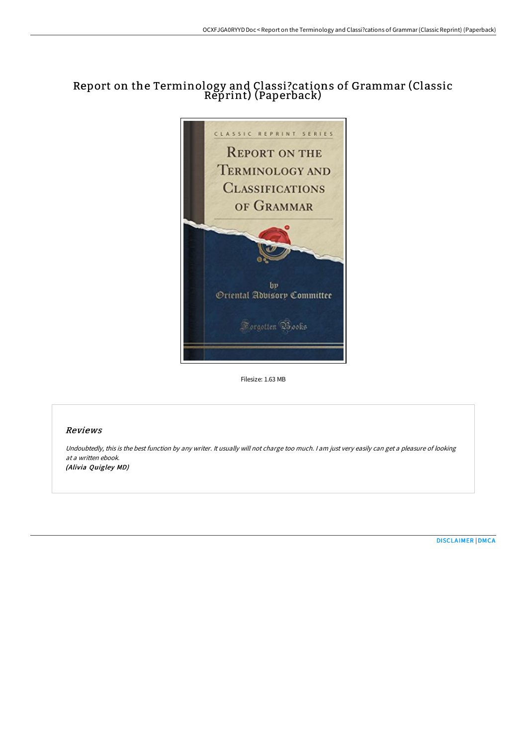# Report on the Terminology and Classi ?cations of Grammar (Classic Reprint) (Paperback)



Filesize: 1.63 MB

## Reviews

Undoubtedly, this is the best function by any writer. It usually will not charge too much. <sup>I</sup> am just very easily can get <sup>a</sup> pleasure of looking at a written ebook. (Alivia Quigley MD)

[DISCLAIMER](http://techno-pub.tech/disclaimer.html) | [DMCA](http://techno-pub.tech/dmca.html)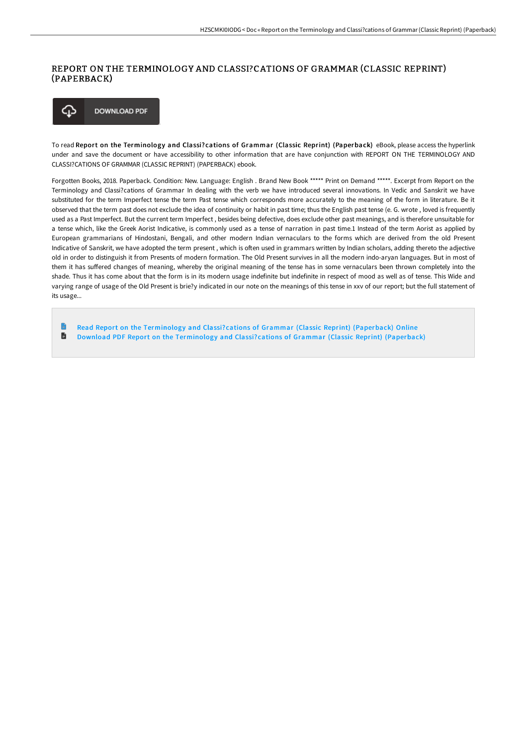### REPORT ON THE TERMINOLOGY AND CLASSI?CATIONS OF GRAMMAR (CLASSIC REPRINT) (PAPERBACK)

**DOWNLOAD PDF** ঞ

To read Report on the Terminology and Classi? cations of Grammar (Classic Reprint) (Paperback) eBook, please access the hyperlink under and save the document or have accessibility to other information that are have conjunction with REPORT ON THE TERMINOLOGY AND CLASSI?CATIONS OF GRAMMAR (CLASSIC REPRINT) (PAPERBACK) ebook.

Forgotten Books, 2018. Paperback. Condition: New. Language: English . Brand New Book \*\*\*\*\* Print on Demand \*\*\*\*\*. Excerpt from Report on the Terminology and Classi?cations of Grammar In dealing with the verb we have introduced several innovations. In Vedic and Sanskrit we have substituted for the term Imperfect tense the term Past tense which corresponds more accurately to the meaning of the form in literature. Be it observed that the term past does not exclude the idea of continuity or habit in past time; thus the English past tense (e. G. wrote , loved is frequently used as a Past Imperfect. But the current term Imperfect , besides being defective, does exclude other past meanings, and is therefore unsuitable for a tense which, like the Greek Aorist Indicative, is commonly used as a tense of narration in past time.1 Instead of the term Aorist as applied by European grammarians of Hindostani, Bengali, and other modern Indian vernaculars to the forms which are derived from the old Present Indicative of Sanskrit, we have adopted the term present , which is oFen used in grammars written by Indian scholars, adding thereto the adjective old in order to distinguish it from Presents of modern formation. The Old Present survives in all the modern indo-aryan languages. But in most of them it has suffered changes of meaning, whereby the original meaning of the tense has in some vernaculars been thrown completely into the shade. Thus it has come about that the form is in its modern usage indefinite but indefinite in respect of mood as well as of tense. This Wide and varying range of usage of the Old Present is brie?y indicated in our note on the meanings of this tense in xxv of our report; but the full statement of its usage...

Read Report on the [Terminology](http://techno-pub.tech/report-on-the-terminology-and-classi-cations-of-.html) and Classi? cations of Grammar (Classic Reprint) (Paperback) Online  $\blacksquare$ Download PDF Report on the [Terminology](http://techno-pub.tech/report-on-the-terminology-and-classi-cations-of-.html) and Classi? cations of Grammar (Classic Reprint) (Paperback)